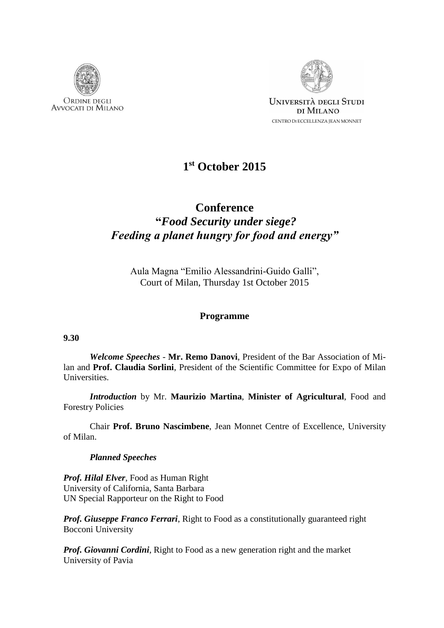



## **1 st October 2015**

# **Conference "***Food Security under siege? Feeding a planet hungry for food and energy"*

Aula Magna "Emilio Alessandrini-Guido Galli", Court of Milan, Thursday 1st October 2015

### **Programme**

#### **9.30**

*Welcome Speeches* - **Mr. Remo Danovi**, President of the Bar Association of Milan and **Prof. Claudia Sorlini**, President of the Scientific Committee for Expo of Milan Universities.

*Introduction* by Mr. **Maurizio Martina**, **Minister of Agricultural**, Food and Forestry Policies

Chair **Prof. Bruno Nascimbene**, Jean Monnet Centre of Excellence, University of Milan.

### *Planned Speeches*

*Prof. Hilal Elver*, Food as Human Right University of California, Santa Barbara UN Special Rapporteur on the Right to Food

*Prof. Giuseppe Franco Ferrari*, Right to Food as a constitutionally guaranteed right Bocconi University

*Prof. Giovanni Cordini*, Right to Food as a new generation right and the market University of Pavia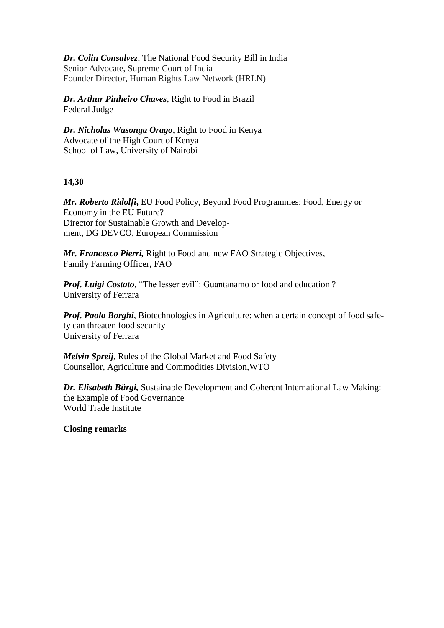*Dr. Colin Consalvez*, The National Food Security Bill in India Senior Advocate, Supreme Court of India Founder Director, Human Rights Law Network (HRLN)

*Dr. Arthur Pinheiro Chaves*, Right to Food in Brazil Federal Judge

*Dr. Nicholas Wasonga Orago*, Right to Food in Kenya Advocate of the High Court of Kenya School of Law, University of Nairobi

### **14,30**

*Mr. Roberto Ridolfi***,** EU Food Policy, Beyond Food Programmes: Food, Energy or Economy in the EU Future? Director for Sustainable Growth and Development, DG DEVCO, European Commission

*Mr. Francesco Pierri,* Right to Food and new FAO Strategic Objectives*,*  Family Farming Officer, FAO

*Prof. Luigi Costato*, "The lesser evil": Guantanamo or food and education ? University of Ferrara

*Prof. Paolo Borghi*, Biotechnologies in Agriculture: when a certain concept of food safety can threaten food security University of Ferrara

*Melvin Spreij,* Rules of the Global Market and Food Safety Counsellor, Agriculture and Commodities Division,WTO

*Dr. Elisabeth Bürgi,* Sustainable Development and Coherent International Law Making: the Example of Food Governance World Trade Institute

**Closing remarks**